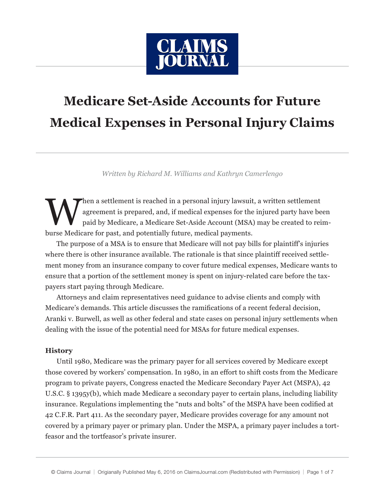

# **Medicare Set-Aside Accounts for Future Medical Expenses in Personal Injury Claims**

*Written by Richard M. Williams and Kathryn Camerlengo*

When a settlement is reached in a personal injury lawsuit, a written settlement<br>agreement is prepared, and, if medical expenses for the injured party have be<br>paid by Medicare, a Medicare Set-Aside Account (MSA) may be crea agreement is prepared, and, if medical expenses for the injured party have been paid by Medicare, a Medicare Set-Aside Account (MSA) may be created to reimburse Medicare for past, and potentially future, medical payments.

The purpose of a MSA is to ensure that Medicare will not pay bills for plaintiff's injuries where there is other insurance available. The rationale is that since plaintiff received settlement money from an insurance company to cover future medical expenses, Medicare wants to ensure that a portion of the settlement money is spent on injury-related care before the taxpayers start paying through Medicare.

Attorneys and claim representatives need guidance to advise clients and comply with Medicare's demands. This article discusses the ramifications of a recent federal decision, Aranki v. Burwell, as well as other federal and state cases on personal injury settlements when dealing with the issue of the potential need for MSAs for future medical expenses.

# **History**

Until 1980, Medicare was the primary payer for all services covered by Medicare except those covered by workers' compensation. In 1980, in an effort to shift costs from the Medicare program to private payers, Congress enacted the Medicare Secondary Payer Act (MSPA), 42 U.S.C. § 1395y(b), which made Medicare a secondary payer to certain plans, including liability insurance. Regulations implementing the "nuts and bolts" of the MSPA have been codified at 42 C.F.R. Part 411. As the secondary payer, Medicare provides coverage for any amount not covered by a primary payer or primary plan. Under the MSPA, a primary payer includes a tortfeasor and the tortfeasor's private insurer.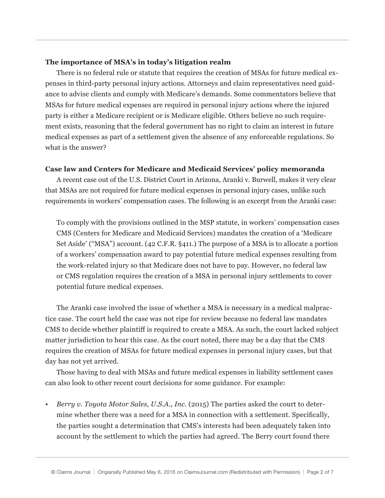# **The importance of MSA's in today's litigation realm**

There is no federal rule or statute that requires the creation of MSAs for future medical expenses in third-party personal injury actions. Attorneys and claim representatives need guidance to advise clients and comply with Medicare's demands. Some commentators believe that MSAs for future medical expenses are required in personal injury actions where the injured party is either a Medicare recipient or is Medicare eligible. Others believe no such requirement exists, reasoning that the federal government has no right to claim an interest in future medical expenses as part of a settlement given the absence of any enforceable regulations. So what is the answer?

## **Case law and Centers for Medicare and Medicaid Services' policy memoranda**

A recent case out of the U.S. District Court in Arizona, Aranki v. Burwell, makes it very clear that MSAs are not required for future medical expenses in personal injury cases, unlike such requirements in workers' compensation cases. The following is an excerpt from the Aranki case:

To comply with the provisions outlined in the MSP statute, in workers' compensation cases CMS (Centers for Medicare and Medicaid Services) mandates the creation of a 'Medicare Set Aside' ("MSA") account. (42 C.F.R. §411.) The purpose of a MSA is to allocate a portion of a workers' compensation award to pay potential future medical expenses resulting from the work-related injury so that Medicare does not have to pay. However, no federal law or CMS regulation requires the creation of a MSA in personal injury settlements to cover potential future medical expenses.

The Aranki case involved the issue of whether a MSA is necessary in a medical malpractice case. The court held the case was not ripe for review because no federal law mandates CMS to decide whether plaintiff is required to create a MSA. As such, the court lacked subject matter jurisdiction to hear this case. As the court noted, there may be a day that the CMS requires the creation of MSAs for future medical expenses in personal injury cases, but that day has not yet arrived.

Those having to deal with MSAs and future medical expenses in liability settlement cases can also look to other recent court decisions for some guidance. For example:

*• Berry v. Toyota Motor Sales, U.S.A., Inc.* (2015) The parties asked the court to determine whether there was a need for a MSA in connection with a settlement. Specifically, the parties sought a determination that CMS's interests had been adequately taken into account by the settlement to which the parties had agreed. The Berry court found there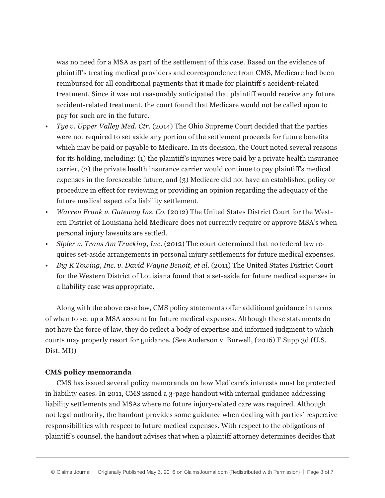was no need for a MSA as part of the settlement of this case. Based on the evidence of plaintiff's treating medical providers and correspondence from CMS, Medicare had been reimbursed for all conditional payments that it made for plaintiff's accident-related treatment. Since it was not reasonably anticipated that plaintiff would receive any future accident-related treatment, the court found that Medicare would not be called upon to pay for such are in the future.

- *Tye v. Upper Valley Med. Ctr.* (2014) The Ohio Supreme Court decided that the parties were not required to set aside any portion of the settlement proceeds for future benefits which may be paid or payable to Medicare. In its decision, the Court noted several reasons for its holding, including: (1) the plaintiff's injuries were paid by a private health insurance carrier, (2) the private health insurance carrier would continue to pay plaintiff's medical expenses in the foreseeable future, and (3) Medicare did not have an established policy or procedure in effect for reviewing or providing an opinion regarding the adequacy of the future medical aspect of a liability settlement.
- *• Warren Frank v. Gateway Ins. Co.* (2012) The United States District Court for the Western District of Louisiana held Medicare does not currently require or approve MSA's when personal injury lawsuits are settled.
- *• Sipler v. Trans Am Trucking, Inc.* (2012) The court determined that no federal law requires set-aside arrangements in personal injury settlements for future medical expenses.
- *Big R Towing, Inc. v. David Wayne Benoit, et al.* (2011) The United States District Court for the Western District of Louisiana found that a set-aside for future medical expenses in a liability case was appropriate.

Along with the above case law, CMS policy statements offer additional guidance in terms of when to set up a MSA account for future medical expenses. Although these statements do not have the force of law, they do reflect a body of expertise and informed judgment to which courts may properly resort for guidance. (See Anderson v. Burwell, (2016) F.Supp.3d (U.S. Dist. MI))

## **CMS policy memoranda**

CMS has issued several policy memoranda on how Medicare's interests must be protected in liability cases. In 2011, CMS issued a 3-page handout with internal guidance addressing liability settlements and MSAs where no future injury-related care was required. Although not legal authority, the handout provides some guidance when dealing with parties' respective responsibilities with respect to future medical expenses. With respect to the obligations of plaintiff's counsel, the handout advises that when a plaintiff attorney determines decides that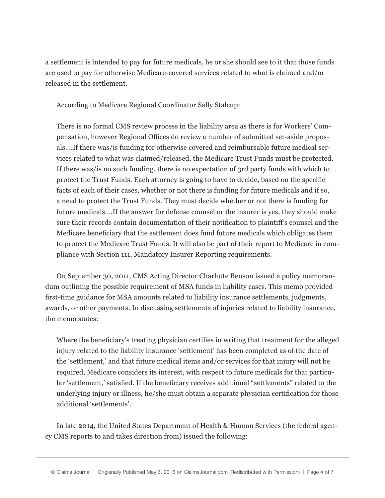a settlement is intended to pay for future medicals, he or she should see to it that those funds are used to pay for otherwise Medicare-covered services related to what is claimed and/or released in the settlement.

According to Medicare Regional Coordinator Sally Stalcup:

There is no formal CMS review process in the liability area as there is for Workers' Compensation, however Regional Offices do review a number of submitted set-aside proposals….If there was/is funding for otherwise covered and reimbursable future medical services related to what was claimed/released, the Medicare Trust Funds must be protected. If there was/is no such funding, there is no expectation of 3rd party funds with which to protect the Trust Funds. Each attorney is going to have to decide, based on the specific facts of each of their cases, whether or not there is funding for future medicals and if so, a need to protect the Trust Funds. They must decide whether or not there is funding for future medicals….If the answer for defense counsel or the insurer is yes, they should make sure their records contain documentation of their notification to plaintiff's counsel and the Medicare beneficiary that the settlement does fund future medicals which obligates them to protect the Medicare Trust Funds. It will also be part of their report to Medicare in compliance with Section 111, Mandatory Insurer Reporting requirements.

On September 30, 2011, CMS Acting Director Charlotte Benson issued a policy memorandum outlining the possible requirement of MSA funds in liability cases. This memo provided first-time guidance for MSA amounts related to liability insurance settlements, judgments, awards, or other payments. In discussing settlements of injuries related to liability insurance, the memo states:

Where the beneficiary's treating physician certifies in writing that treatment for the alleged injury related to the liability insurance 'settlement' has been completed as of the date of the 'settlement,' and that future medical items and/or services for that injury will not be required, Medicare considers its interest, with respect to future medicals for that particular 'settlement,' satisfied. If the beneficiary receives additional "settlements" related to the underlying injury or illness, he/she must obtain a separate physician certification for those additional 'settlements'.

In late 2014, the United States Department of Health & Human Services (the federal agency CMS reports to and takes direction from) issued the following: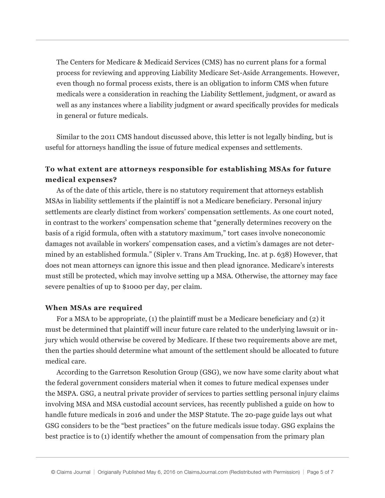The Centers for Medicare & Medicaid Services (CMS) has no current plans for a formal process for reviewing and approving Liability Medicare Set-Aside Arrangements. However, even though no formal process exists, there is an obligation to inform CMS when future medicals were a consideration in reaching the Liability Settlement, judgment, or award as well as any instances where a liability judgment or award specifically provides for medicals in general or future medicals.

Similar to the 2011 CMS handout discussed above, this letter is not legally binding, but is useful for attorneys handling the issue of future medical expenses and settlements.

# **To what extent are attorneys responsible for establishing MSAs for future medical expenses?**

As of the date of this article, there is no statutory requirement that attorneys establish MSAs in liability settlements if the plaintiff is not a Medicare beneficiary. Personal injury settlements are clearly distinct from workers' compensation settlements. As one court noted, in contrast to the workers' compensation scheme that "generally determines recovery on the basis of a rigid formula, often with a statutory maximum," tort cases involve noneconomic damages not available in workers' compensation cases, and a victim's damages are not determined by an established formula." (Sipler v. Trans Am Trucking, Inc. at p. 638) However, that does not mean attorneys can ignore this issue and then plead ignorance. Medicare's interests must still be protected, which may involve setting up a MSA. Otherwise, the attorney may face severe penalties of up to \$1000 per day, per claim.

# **When MSAs are required**

For a MSA to be appropriate, (1) the plaintiff must be a Medicare beneficiary and (2) it must be determined that plaintiff will incur future care related to the underlying lawsuit or injury which would otherwise be covered by Medicare. If these two requirements above are met, then the parties should determine what amount of the settlement should be allocated to future medical care.

According to the Garretson Resolution Group (GSG), we now have some clarity about what the federal government considers material when it comes to future medical expenses under the MSPA. GSG, a neutral private provider of services to parties settling personal injury claims involving MSA and MSA custodial account services, has recently published a guide on how to handle future medicals in 2016 and under the MSP Statute. The 20-page guide lays out what GSG considers to be the "best practices" on the future medicals issue today. GSG explains the best practice is to (1) identify whether the amount of compensation from the primary plan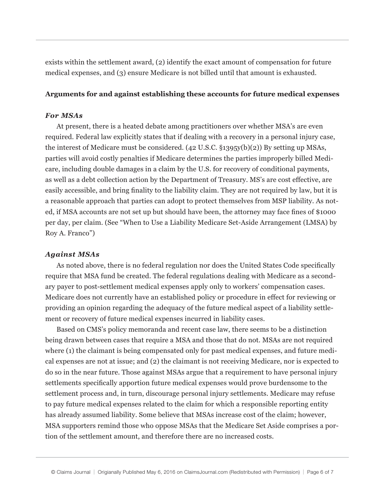exists within the settlement award, (2) identify the exact amount of compensation for future medical expenses, and (3) ensure Medicare is not billed until that amount is exhausted.

### **Arguments for and against establishing these accounts for future medical expenses**

## *For MSAs*

At present, there is a heated debate among practitioners over whether MSA's are even required. Federal law explicitly states that if dealing with a recovery in a personal injury case, the interest of Medicare must be considered. (42 U.S.C. §1395y(b)(2)) By setting up MSAs, parties will avoid costly penalties if Medicare determines the parties improperly billed Medicare, including double damages in a claim by the U.S. for recovery of conditional payments, as well as a debt collection action by the Department of Treasury. MS's are cost effective, are easily accessible, and bring finality to the liability claim. They are not required by law, but it is a reasonable approach that parties can adopt to protect themselves from MSP liability. As noted, if MSA accounts are not set up but should have been, the attorney may face fines of \$1000 per day, per claim. (See "When to Use a Liability Medicare Set-Aside Arrangement (LMSA) by Roy A. Franco")

#### *Against MSAs*

As noted above, there is no federal regulation nor does the United States Code specifically require that MSA fund be created. The federal regulations dealing with Medicare as a secondary payer to post-settlement medical expenses apply only to workers' compensation cases. Medicare does not currently have an established policy or procedure in effect for reviewing or providing an opinion regarding the adequacy of the future medical aspect of a liability settlement or recovery of future medical expenses incurred in liability cases.

Based on CMS's policy memoranda and recent case law, there seems to be a distinction being drawn between cases that require a MSA and those that do not. MSAs are not required where (1) the claimant is being compensated only for past medical expenses, and future medical expenses are not at issue; and (2) the claimant is not receiving Medicare, nor is expected to do so in the near future. Those against MSAs argue that a requirement to have personal injury settlements specifically apportion future medical expenses would prove burdensome to the settlement process and, in turn, discourage personal injury settlements. Medicare may refuse to pay future medical expenses related to the claim for which a responsible reporting entity has already assumed liability. Some believe that MSAs increase cost of the claim; however, MSA supporters remind those who oppose MSAs that the Medicare Set Aside comprises a portion of the settlement amount, and therefore there are no increased costs.